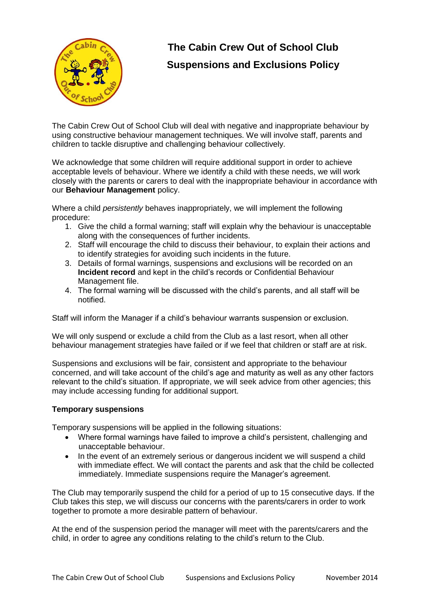

## **The Cabin Crew Out of School Club Suspensions and Exclusions Policy**

The Cabin Crew Out of School Club will deal with negative and inappropriate behaviour by using constructive behaviour management techniques. We will involve staff, parents and children to tackle disruptive and challenging behaviour collectively.

We acknowledge that some children will require additional support in order to achieve acceptable levels of behaviour. Where we identify a child with these needs, we will work closely with the parents or carers to deal with the inappropriate behaviour in accordance with our **Behaviour Management** policy.

Where a child *persistently* behaves inappropriately, we will implement the following procedure:

- 1. Give the child a formal warning; staff will explain why the behaviour is unacceptable along with the consequences of further incidents.
- 2. Staff will encourage the child to discuss their behaviour, to explain their actions and to identify strategies for avoiding such incidents in the future.
- 3. Details of formal warnings, suspensions and exclusions will be recorded on an **Incident record** and kept in the child's records or Confidential Behaviour Management file.
- 4. The formal warning will be discussed with the child's parents, and all staff will be notified.

Staff will inform the Manager if a child's behaviour warrants suspension or exclusion.

We will only suspend or exclude a child from the Club as a last resort, when all other behaviour management strategies have failed or if we feel that children or staff are at risk.

Suspensions and exclusions will be fair, consistent and appropriate to the behaviour concerned, and will take account of the child's age and maturity as well as any other factors relevant to the child's situation. If appropriate, we will seek advice from other agencies; this may include accessing funding for additional support.

## **Temporary suspensions**

Temporary suspensions will be applied in the following situations:

- Where formal warnings have failed to improve a child's persistent, challenging and unacceptable behaviour.
- In the event of an extremely serious or dangerous incident we will suspend a child with immediate effect. We will contact the parents and ask that the child be collected immediately. Immediate suspensions require the Manager's agreement.

The Club may temporarily suspend the child for a period of up to 15 consecutive days. If the Club takes this step, we will discuss our concerns with the parents/carers in order to work together to promote a more desirable pattern of behaviour.

At the end of the suspension period the manager will meet with the parents/carers and the child, in order to agree any conditions relating to the child's return to the Club.